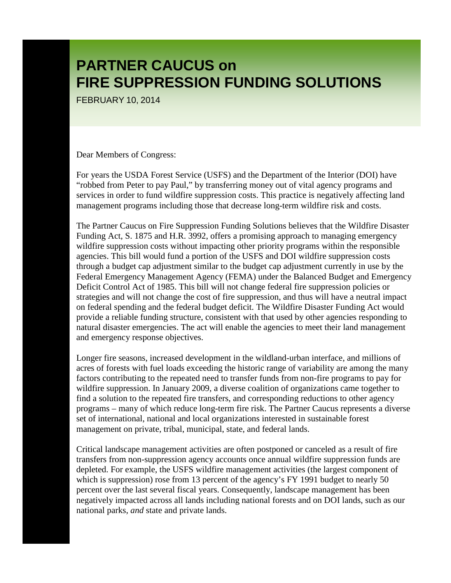FEBRUARY 10, 2014

Dear Members of Congress:

For years the USDA Forest Service (USFS) and the Department of the Interior (DOI) have "robbed from Peter to pay Paul," by transferring money out of vital agency programs and services in order to fund wildfire suppression costs. This practice is negatively affecting land management programs including those that decrease long-term wildfire risk and costs.

The Partner Caucus on Fire Suppression Funding Solutions believes that the Wildfire Disaster Funding Act, S. 1875 and H.R. 3992, offers a promising approach to managing emergency wildfire suppression costs without impacting other priority programs within the responsible agencies. This bill would fund a portion of the USFS and DOI wildfire suppression costs through a budget cap adjustment similar to the budget cap adjustment currently in use by the Federal Emergency Management Agency (FEMA) under the Balanced Budget and Emergency Deficit Control Act of 1985. This bill will not change federal fire suppression policies or strategies and will not change the cost of fire suppression, and thus will have a neutral impact on federal spending and the federal budget deficit. The Wildfire Disaster Funding Act would provide a reliable funding structure, consistent with that used by other agencies responding to natural disaster emergencies. The act will enable the agencies to meet their land management and emergency response objectives.

Longer fire seasons, increased development in the wildland-urban interface, and millions of acres of forests with fuel loads exceeding the historic range of variability are among the many factors contributing to the repeated need to transfer funds from non-fire programs to pay for wildfire suppression. In January 2009, a diverse coalition of organizations came together to find a solution to the repeated fire transfers, and corresponding reductions to other agency programs – many of which reduce long-term fire risk. The Partner Caucus represents a diverse set of international, national and local organizations interested in sustainable forest management on private, tribal, municipal, state, and federal lands.

Critical landscape management activities are often postponed or canceled as a result of fire transfers from non-suppression agency accounts once annual wildfire suppression funds are depleted. For example, the USFS wildfire management activities (the largest component of which is suppression) rose from 13 percent of the agency's FY 1991 budget to nearly 50 percent over the last several fiscal years. Consequently, landscape management has been negatively impacted across all lands including national forests and on DOI lands, such as our national parks, *and* state and private lands.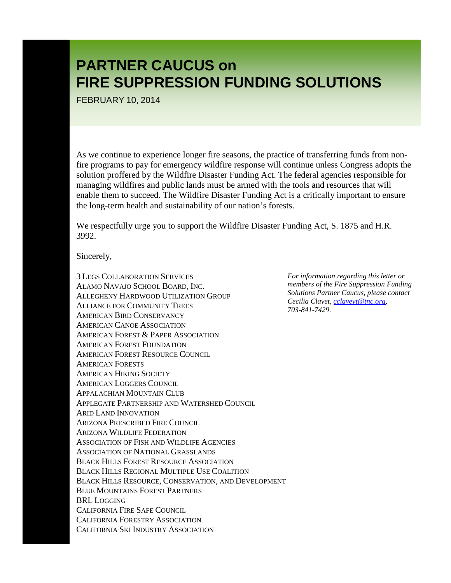FEBRUARY 10, 2014

As we continue to experience longer fire seasons, the practice of transferring funds from nonfire programs to pay for emergency wildfire response will continue unless Congress adopts the solution proffered by the Wildfire Disaster Funding Act. The federal agencies responsible for managing wildfires and public lands must be armed with the tools and resources that will enable them to succeed. The Wildfire Disaster Funding Act is a critically important to ensure the long-term health and sustainability of our nation's forests.

We respectfully urge you to support the Wildfire Disaster Funding Act, S. 1875 and H.R. 3992.

Sincerely,

3 LEGS COLLABORATION SERVICES ALAMO NAVAJO SCHOOL BOARD, INC. ALLEGHENY HARDWOOD UTILIZATION GROUP ALLIANCE FOR COMMUNITY TREES AMERICAN BIRD CONSERVANCY AMERICAN CANOE ASSOCIATION AMERICAN FOREST & PAPER ASSOCIATION AMERICAN FOREST FOUNDATION AMERICAN FOREST RESOURCE COUNCIL AMERICAN FORESTS AMERICAN HIKING SOCIETY AMERICAN LOGGERS COUNCIL APPALACHIAN MOUNTAIN CLUB APPLEGATE PARTNERSHIP AND WATERSHED COUNCIL ARID LAND INNOVATION ARIZONA PRESCRIBED FIRE COUNCIL ARIZONA WILDLIFE FEDERATION ASSOCIATION OF FISH AND WILDLIFE AGENCIES ASSOCIATION OF NATIONAL GRASSLANDS BLACK HILLS FOREST RESOURCE ASSOCIATION BLACK HILLS REGIONAL MULTIPLE USE COALITION BLACK HILLS RESOURCE, CONSERVATION, AND DEVELOPMENT BLUE MOUNTAINS FOREST PARTNERS BRL LOGGING CALIFORNIA FIRE SAFE COUNCIL CALIFORNIA FORESTRY ASSOCIATION CALIFORNIA SKI INDUSTRY ASSOCIATION

*For information regarding this letter or members of the Fire Suppression Funding Solutions Partner Caucus, please contact Cecilia Clavet, [cclavevt@tnc.org,](mailto:cclavevt@tnc.org) 703-841-7429.*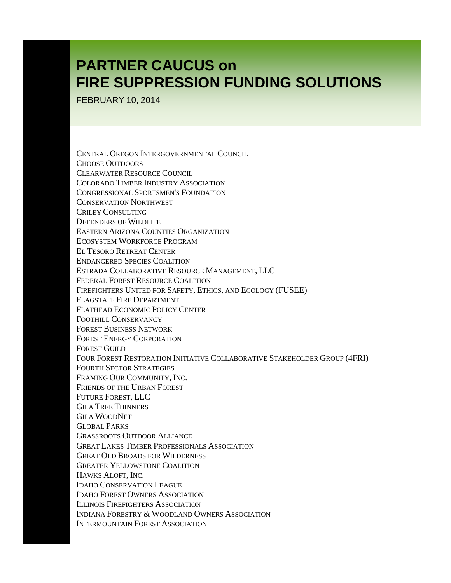FEBRUARY 10, 2014

CENTRAL OREGON INTERGOVERNMENTAL COUNCIL CHOOSE OUTDOORS CLEARWATER RESOURCE COUNCIL COLORADO TIMBER INDUSTRY ASSOCIATION CONGRESSIONAL SPORTSMEN'S FOUNDATION CONSERVATION NORTHWEST CRILEY CONSULTING DEFENDERS OF WILDLIFE EASTERN ARIZONA COUNTIES ORGANIZATION ECOSYSTEM WORKFORCE PROGRAM EL TESORO RETREAT CENTER ENDANGERED SPECIES COALITION ESTRADA COLLABORATIVE RESOURCE MANAGEMENT, LLC FEDERAL FOREST RESOURCE COALITION FIREFIGHTERS UNITED FOR SAFETY, ETHICS, AND ECOLOGY (FUSEE) FLAGSTAFF FIRE DEPARTMENT FLATHEAD ECONOMIC POLICY CENTER FOOTHILL CONSERVANCY FOREST BUSINESS NETWORK FOREST ENERGY CORPORATION FOREST GUILD FOUR FOREST RESTORATION INITIATIVE COLLABORATIVE STAKEHOLDER GROUP (4FRI) FOURTH SECTOR STRATEGIES FRAMING OUR COMMUNITY, INC. FRIENDS OF THE URBAN FOREST FUTURE FOREST, LLC GILA TREE THINNERS GILA WOODNET GLOBAL PARKS GRASSROOTS OUTDOOR ALLIANCE GREAT LAKES TIMBER PROFESSIONALS ASSOCIATION GREAT OLD BROADS FOR WILDERNESS GREATER YELLOWSTONE COALITION HAWKS ALOFT, INC. IDAHO CONSERVATION LEAGUE IDAHO FOREST OWNERS ASSOCIATION ILLINOIS FIREFIGHTERS ASSOCIATION INDIANA FORESTRY & WOODLAND OWNERS ASSOCIATION INTERMOUNTAIN FOREST ASSOCIATION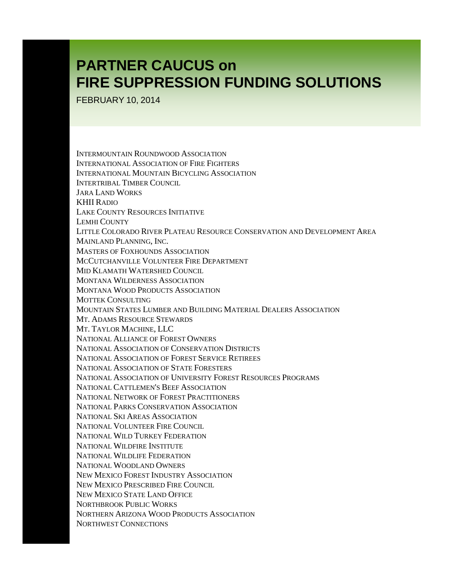FEBRUARY 10, 2014

INTERMOUNTAIN ROUNDWOOD ASSOCIATION INTERNATIONAL ASSOCIATION OF FIRE FIGHTERS INTERNATIONAL MOUNTAIN BICYCLING ASSOCIATION INTERTRIBAL TIMBER COUNCIL JARA LAND WORKS KHII RADIO LAKE COUNTY RESOURCES INITIATIVE LEMHI COUNTY LITTLE COLORADO RIVER PLATEAU RESOURCE CONSERVATION AND DEVELOPMENT AREA MAINLAND PLANNING, INC. MASTERS OF FOXHOUNDS ASSOCIATION MCCUTCHANVILLE VOLUNTEER FIRE DEPARTMENT MID KLAMATH WATERSHED COUNCIL MONTANA WILDERNESS ASSOCIATION MONTANA WOOD PRODUCTS ASSOCIATION MOTTEK CONSULTING MOUNTAIN STATES LUMBER AND BUILDING MATERIAL DEALERS ASSOCIATION MT. ADAMS RESOURCE STEWARDS MT. TAYLOR MACHINE, LLC NATIONAL ALLIANCE OF FOREST OWNERS NATIONAL ASSOCIATION OF CONSERVATION DISTRICTS NATIONAL ASSOCIATION OF FOREST SERVICE RETIREES NATIONAL ASSOCIATION OF STATE FORESTERS NATIONAL ASSOCIATION OF UNIVERSITY FOREST RESOURCES PROGRAMS NATIONAL CATTLEMEN'S BEEF ASSOCIATION NATIONAL NETWORK OF FOREST PRACTITIONERS NATIONAL PARKS CONSERVATION ASSOCIATION NATIONAL SKI AREAS ASSOCIATION NATIONAL VOLUNTEER FIRE COUNCIL NATIONAL WILD TURKEY FEDERATION NATIONAL WILDFIRE INSTITUTE NATIONAL WILDLIFE FEDERATION NATIONAL WOODLAND OWNERS NEW MEXICO FOREST INDUSTRY ASSOCIATION NEW MEXICO PRESCRIBED FIRE COUNCIL NEW MEXICO STATE LAND OFFICE NORTHBROOK PUBLIC WORKS NORTHERN ARIZONA WOOD PRODUCTS ASSOCIATION NORTHWEST CONNECTIONS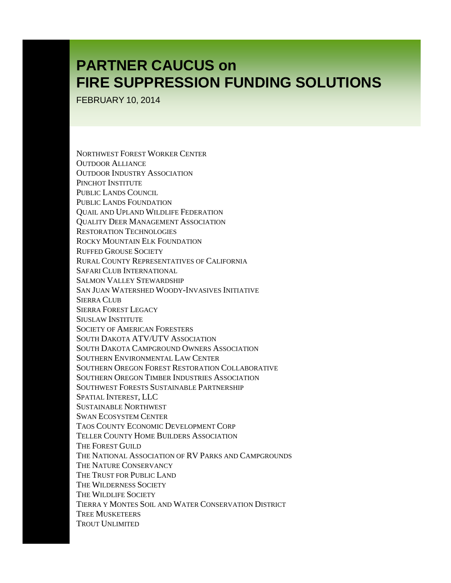FEBRUARY 10, 2014

NORTHWEST FOREST WORKER CENTER OUTDOOR ALLIANCE OUTDOOR INDUSTRY ASSOCIATION PINCHOT INSTITUTE PUBLIC LANDS COUNCIL PUBLIC LANDS FOUNDATION QUAIL AND UPLAND WILDLIFE FEDERATION QUALITY DEER MANAGEMENT ASSOCIATION RESTORATION TECHNOLOGIES ROCKY MOUNTAIN ELK FOUNDATION RUFFED GROUSE SOCIETY RURAL COUNTY REPRESENTATIVES OF CALIFORNIA SAFARI CLUB INTERNATIONAL SALMON VALLEY STEWARDSHIP SAN JUAN WATERSHED WOODY-INVASIVES INITIATIVE SIERRA CLUB SIERRA FOREST LEGACY SIUSLAW INSTITUTE SOCIETY OF AMERICAN FORESTERS SOUTH DAKOTA ATV/UTV ASSOCIATION SOUTH DAKOTA CAMPGROUND OWNERS ASSOCIATION SOUTHERN ENVIRONMENTAL LAW CENTER SOUTHERN OREGON FOREST RESTORATION COLLABORATIVE SOUTHERN OREGON TIMBER INDUSTRIES ASSOCIATION SOUTHWEST FORESTS SUSTAINABLE PARTNERSHIP SPATIAL INTEREST, LLC SUSTAINABLE NORTHWEST SWAN ECOSYSTEM CENTER TAOS COUNTY ECONOMIC DEVELOPMENT CORP TELLER COUNTY HOME BUILDERS ASSOCIATION THE FOREST GUILD THE NATIONAL ASSOCIATION OF RV PARKS AND CAMPGROUNDS THE NATURE CONSERVANCY THE TRUST FOR PUBLIC LAND THE WILDERNESS SOCIETY THE WILDLIFE SOCIETY TIERRA Y MONTES SOIL AND WATER CONSERVATION DISTRICT TREE MUSKETEERS TROUT UNLIMITED